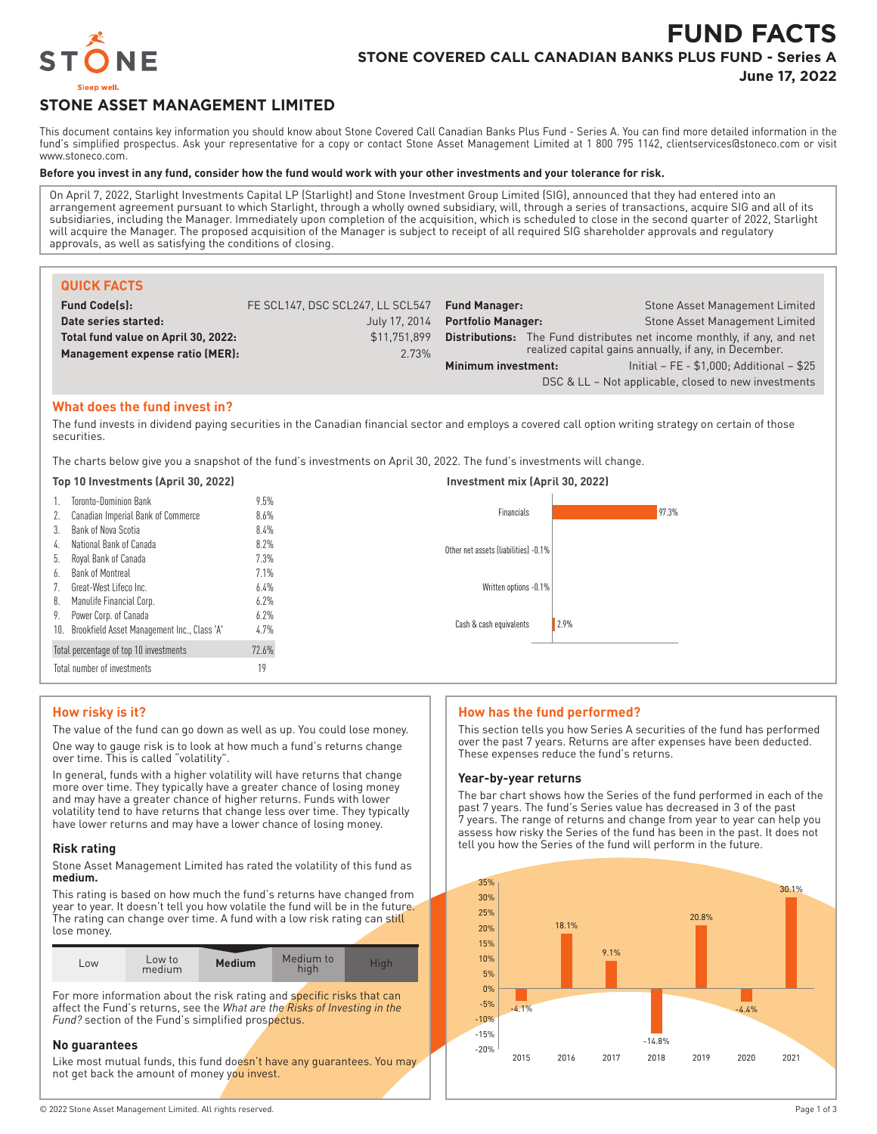

# **FUND FACTS STONE COVERED CALL CANADIAN BANKS PLUS FUND - Series A**

**June 17, 2022**

# **STONE ASSET MANAGEMENT LIMITED**

This document contains key information you should know about Stone Covered Call Canadian Banks Plus Fund - Series A. You can find more detailed information in the fund's simplified prospectus. Ask your representative for a copy or contact Stone Asset Management Limited at 1 800 795 1142, clientservices@stoneco.com or visit www.stoneco.com.

#### **Before you invest in any fund, consider how the fund would work with your other investments and your tolerance for risk.**

On April 7, 2022, Starlight Investments Capital LP (Starlight) and Stone Investment Group Limited (SIG), announced that they had entered into an arrangement agreement pursuant to which Starlight, through a wholly owned subsidiary, will, through a series of transactions, acquire SIG and all of its subsidiaries, including the Manager. Immediately upon completion of the acquisition, which is scheduled to close in the second quarter of 2022, Starlight will acquire the Manager. The proposed acquisition of the Manager is subject to receipt of all required SIG shareholder approvals and regulatory approvals, as well as satisfying the conditions of closing.

| <b>QUICK FACTS</b>                  |                                  |                           |                                                                                |
|-------------------------------------|----------------------------------|---------------------------|--------------------------------------------------------------------------------|
| <b>Fund Code(s):</b>                | FE SCL147, DSC SCL247, LL SCL547 | <b>Fund Manager:</b>      | Stone Asset Management Limited                                                 |
| Date series started:                | July 17, 2014                    | <b>Portfolio Manager:</b> | Stone Asset Management Limited                                                 |
| Total fund value on April 30, 2022: | \$11.751.899                     |                           | <b>Distributions:</b> The Fund distributes net income monthly, if any, and net |
| Management expense ratio (MER):     | 2.73%                            |                           | realized capital gains annually, if any, in December.                          |
|                                     |                                  | Minimum investment:       | Initial - FE - \$1,000; Additional - \$25                                      |

# **What does the fund invest in?**

The fund invests in dividend paying securities in the Canadian financial sector and employs a covered call option writing strategy on certain of those securities.

The charts below give you a snapshot of the fund's investments on April 30, 2022. The fund's investments will change.

#### **Top 10 Investments (April 30, 2022) Investment mix (April 30, 2022)** 1. Toronto-Dominion Bank 9.5% 2. Canadian Imperial Bank of Commerce 8.6% 3. Bank of Nova Scotia 8.4% 4. National Bank of Canada 8.2% 5. Royal Bank of Canada 7.3% 6. Bank of Montreal 7.1% 7. Great-West Lifeco Inc. 6.4% 8. Manulife Financial Corp. 6.2% 9. Power Corp. of Canada 6.2% 10. Brookfield Asset Management Inc., Class 'A' 4.7% Total percentage of top 10 investments 72.6% Total number of investments 19 97.3% Other net assets (liabilities) -0.1% Written options -0.1% 2.9% Financials Cash & cash equivalents

# **How risky is it?**

The value of the fund can go down as well as up. You could lose money. One way to gauge risk is to look at how much a fund's returns change over time. This is called "volatility".

In general, funds with a higher volatility will have returns that change more over time. They typically have a greater chance of losing money and may have a greater chance of higher returns. Funds with lower volatility tend to have returns that change less over time. They typically have lower returns and may have a lower chance of losing money.

### **Risk rating**

Stone Asset Management Limited has rated the volatility of this fund as **medium.**

This rating is based on how much the fund's returns have changed from year to year. It doesn't tell you how volatile the fund will be in the future. The rating can change over time. A fund with a low risk rating can still lose money.

| LOW. | Low to<br>medium | <b>Medium</b> | Medium to<br>hiah | High |
|------|------------------|---------------|-------------------|------|
|      |                  |               |                   |      |

For more information about the risk rating and specific risks that can affect the Fund's returns, see the *What are the Risks of Investing in the Fund?* section of the Fund's simplified prospectus.

### **No guarantees**

Like most mutual funds, this fund doesn't have any guarantees. You may not get back the amount of money you invest.

# **How has the fund performed?**

This section tells you how Series A securities of the fund has performed over the past 7 years. Returns are after expenses have been deducted. These expenses reduce the fund's returns.

DSC & LL – Not applicable, closed to new investments

#### **Year-by-year returns**

The bar chart shows how the Series of the fund performed in each of the past 7 years. The fund's Series value has decreased in 3 of the past 7 years. The range of returns and change from year to year can help you assess how risky the Series of the fund has been in the past. It does not tell you how the Series of the fund will perform in the future.

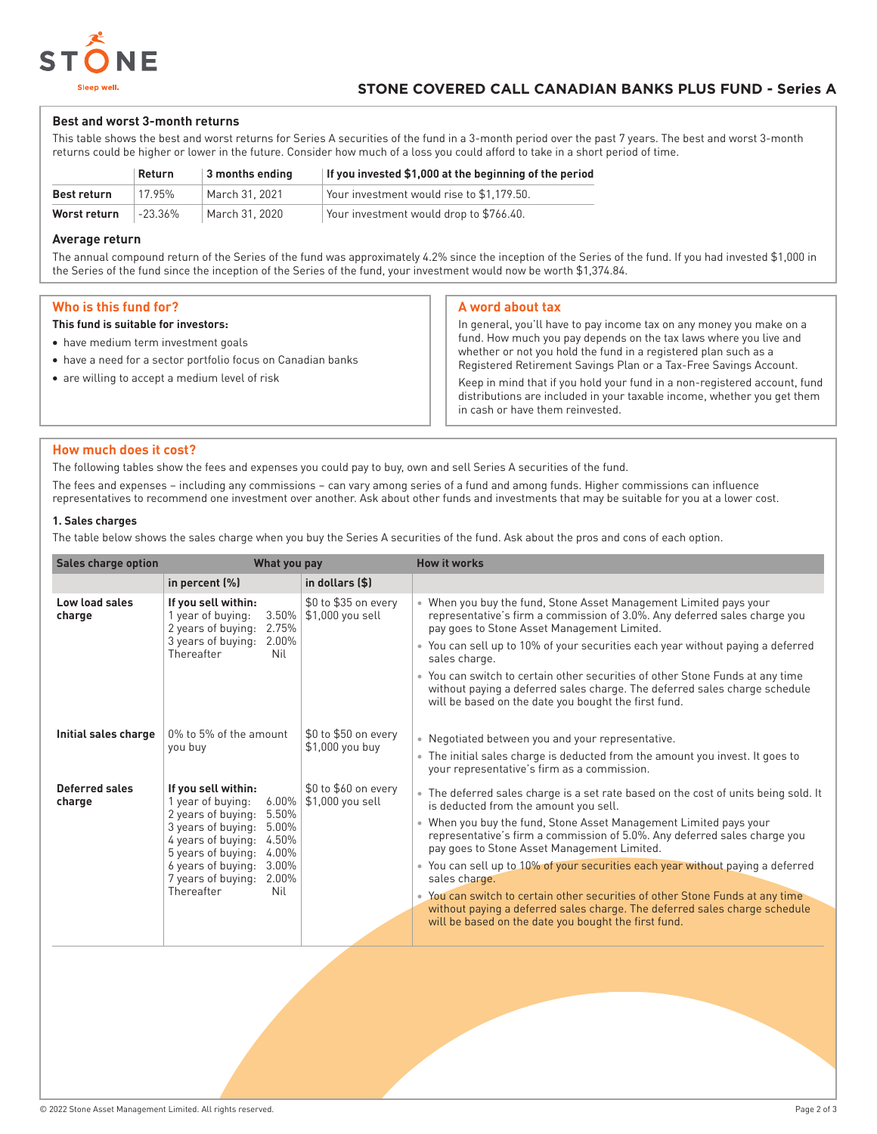

### **Best and worst 3-month returns**

This table shows the best and worst returns for Series A securities of the fund in a 3-month period over the past 7 years. The best and worst 3-month returns could be higher or lower in the future. Consider how much of a loss you could afford to take in a short period of time.

|              | Return  | 3 months ending | If you invested \$1,000 at the beginning of the period |
|--------------|---------|-----------------|--------------------------------------------------------|
| Best return  | 17.95%  | March 31, 2021  | Your investment would rise to \$1.179.50.              |
| Worst return | -23.36% | March 31, 2020  | Your investment would drop to \$766.40.                |

### **Average return**

The annual compound return of the Series of the fund was approximately 4.2% since the inception of the Series of the fund. If you had invested \$1,000 in the Series of the fund since the inception of the Series of the fund, your investment would now be worth \$1,374.84.

## **Who is this fund for?**

#### **This fund is suitable for investors:**

- have medium term investment goals
- have a need for a sector portfolio focus on Canadian banks
- are willing to accept a medium level of risk

#### **A word about tax**

In general, you'll have to pay income tax on any money you make on a fund. How much you pay depends on the tax laws where you live and whether or not you hold the fund in a registered plan such as a Registered Retirement Savings Plan or a Tax-Free Savings Account.

Keep in mind that if you hold your fund in a non-registered account, fund distributions are included in your taxable income, whether you get them in cash or have them reinvested.

### **How much does it cost?**

The following tables show the fees and expenses you could pay to buy, own and sell Series A securities of the fund.

The fees and expenses – including any commissions – can vary among series of a fund and among funds. Higher commissions can influence representatives to recommend one investment over another. Ask about other funds and investments that may be suitable for you at a lower cost.

#### **1. Sales charges**

The table below shows the sales charge when you buy the Series A securities of the fund. Ask about the pros and cons of each option.

| <b>Sales charge option</b>      | What you pay                                                                                                                                                                                                                                                        |                                          | <b>How it works</b>                                                                                                                                                                                                                                                                                                                                                                                                                                                                                                                                                                                                                                      |
|---------------------------------|---------------------------------------------------------------------------------------------------------------------------------------------------------------------------------------------------------------------------------------------------------------------|------------------------------------------|----------------------------------------------------------------------------------------------------------------------------------------------------------------------------------------------------------------------------------------------------------------------------------------------------------------------------------------------------------------------------------------------------------------------------------------------------------------------------------------------------------------------------------------------------------------------------------------------------------------------------------------------------------|
|                                 | in percent (%)                                                                                                                                                                                                                                                      | in dollars (\$)                          |                                                                                                                                                                                                                                                                                                                                                                                                                                                                                                                                                                                                                                                          |
| Low load sales<br>charge        | If you sell within:<br>3.50%<br>1 year of buying:<br>2 years of buying:<br>2.75%<br>3 years of buying:<br>2.00%<br>Thereafter<br>Nil                                                                                                                                | \$0 to \$35 on every<br>\$1,000 you sell | • When you buy the fund, Stone Asset Management Limited pays your<br>representative's firm a commission of 3.0%. Any deferred sales charge you<br>pay goes to Stone Asset Management Limited.<br>• You can sell up to 10% of your securities each year without paying a deferred<br>sales charge.<br>• You can switch to certain other securities of other Stone Funds at any time<br>without paying a deferred sales charge. The deferred sales charge schedule<br>will be based on the date you bought the first fund.                                                                                                                                 |
| Initial sales charge            | 0% to 5% of the amount<br>you buy                                                                                                                                                                                                                                   | \$0 to \$50 on every<br>\$1,000 you buy  | • Negotiated between you and your representative.<br>• The initial sales charge is deducted from the amount you invest. It goes to<br>your representative's firm as a commission.                                                                                                                                                                                                                                                                                                                                                                                                                                                                        |
| <b>Deferred sales</b><br>charge | If you sell within:<br>1 year of buying:<br>$6.00\%$<br>5.50%<br>2 years of buying:<br>3 years of buying:<br>5.00%<br>4 years of buying:<br>4.50%<br>5 years of buying:<br>4.00%<br>6 years of buying:<br>3.00%<br>7 years of buying:<br>2.00%<br>Thereafter<br>Nil | \$0 to \$60 on every<br>\$1,000 you sell | • The deferred sales charge is a set rate based on the cost of units being sold. It<br>is deducted from the amount you sell.<br>• When you buy the fund, Stone Asset Management Limited pays your<br>representative's firm a commission of 5.0%. Any deferred sales charge you<br>pay goes to Stone Asset Management Limited.<br>• You can sell up to 10% of your securities each year without paying a deferred<br>sales charge.<br>• You can switch to certain other securities of other Stone Funds at any time<br>without paying a deferred sales charge. The deferred sales charge schedule<br>will be based on the date you bought the first fund. |